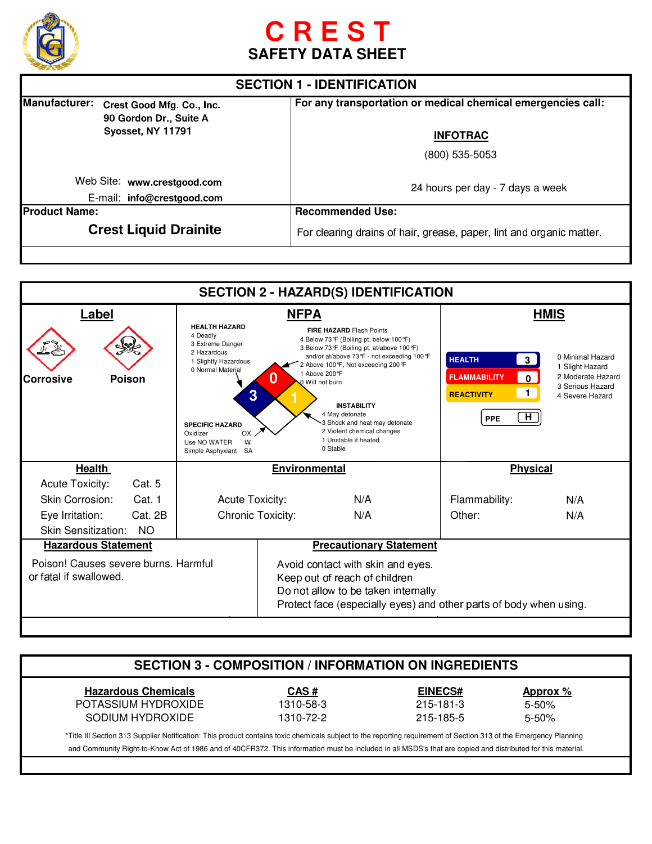

# **SAFETY DATA SHEET**

| <b>SECTION 1 - IDENTIFICATION</b> |                                                     |                                                                      |
|-----------------------------------|-----------------------------------------------------|----------------------------------------------------------------------|
| <b>Manufacturer:</b>              | Crest Good Mfg. Co., Inc.<br>90 Gordon Dr., Suite A | For any transportation or medical chemical emergencies call:         |
|                                   | Syosset, NY 11791                                   | <b>INFOTRAC</b>                                                      |
|                                   |                                                     | (800) 535-5053                                                       |
| Web Site: www.crestgood.com       |                                                     | 24 hours per day - 7 days a week                                     |
|                                   | E-mail: info@crestgood.com                          |                                                                      |
| <b>IProduct Name:</b>             |                                                     | <b>Recommended Use:</b>                                              |
| <b>Crest Liquid Drainite</b>      |                                                     | For clearing drains of hair, grease, paper, lint and organic matter. |

| <b>SECTION 2 - HAZARD(S) IDENTIFICATION</b>                                                                                                                                                                               |                      |                                                                                                                                         |                                                                                                                                                                                                                                                                                                                          |                                                                                                                                              |
|---------------------------------------------------------------------------------------------------------------------------------------------------------------------------------------------------------------------------|----------------------|-----------------------------------------------------------------------------------------------------------------------------------------|--------------------------------------------------------------------------------------------------------------------------------------------------------------------------------------------------------------------------------------------------------------------------------------------------------------------------|----------------------------------------------------------------------------------------------------------------------------------------------|
|                                                                                                                                                                                                                           | <b>NFPA</b>          |                                                                                                                                         | <b>HMIS</b>                                                                                                                                                                                                                                                                                                              |                                                                                                                                              |
| <b>HEALTH HAZARD</b><br>4 Deadly<br>3 Extreme Danger<br>2 Hazardous<br>1 Slightly Hazardous<br>0 Normal Material<br>3<br><b>SPECIFIC HAZARD</b><br>Oxidizer<br>OX<br>$\mathsf{W}$<br>Use NO WATER<br>Simple Asphyxiant SA |                      | <b>INSTABILITY</b><br>4 May detonate<br>3 Shock and heat may detonate<br>2 Violent chemical changes<br>1 Unstable if heated<br>0 Stable | <b>HEALTH</b><br>3 <sup>1</sup><br><b>FLAMMABILITY</b><br>$\blacksquare$<br><b>REACTIVITY</b><br>H<br><b>PPE</b>                                                                                                                                                                                                         | 0 Minimal Hazard<br>1 Slight Hazard<br>2 Moderate Hazard<br>3 Serious Hazard<br>4 Severe Hazard                                              |
|                                                                                                                                                                                                                           | <b>Environmental</b> |                                                                                                                                         | <b>Physical</b>                                                                                                                                                                                                                                                                                                          |                                                                                                                                              |
|                                                                                                                                                                                                                           |                      |                                                                                                                                         |                                                                                                                                                                                                                                                                                                                          |                                                                                                                                              |
|                                                                                                                                                                                                                           |                      | N/A                                                                                                                                     | Flammability:                                                                                                                                                                                                                                                                                                            | N/A                                                                                                                                          |
|                                                                                                                                                                                                                           |                      | N/A                                                                                                                                     | Other:                                                                                                                                                                                                                                                                                                                   | N/A                                                                                                                                          |
|                                                                                                                                                                                                                           |                      |                                                                                                                                         |                                                                                                                                                                                                                                                                                                                          |                                                                                                                                              |
| <b>Hazardous Statement</b>                                                                                                                                                                                                |                      |                                                                                                                                         |                                                                                                                                                                                                                                                                                                                          |                                                                                                                                              |
| Poison! Causes severe burns. Harmful<br>or fatal if swallowed.                                                                                                                                                            |                      |                                                                                                                                         |                                                                                                                                                                                                                                                                                                                          |                                                                                                                                              |
|                                                                                                                                                                                                                           |                      | <b>Acute Toxicity:</b><br><b>Chronic Toxicity:</b>                                                                                      | <b>FIRE HAZARD Flash Points</b><br>4 Below 73°F (Boiling pt. below 100°F)<br>3 Below 73°F (Boiling pt. at/above 100°F)<br>and/or at/above 73°F - not exceeding 100°F<br>2 Above 100 °F, Not exceeding 200 °F<br>1 Above 200 °F<br>O Will not burn<br>Avoid contact with skin and eyes.<br>Keep out of reach of children. | <b>Precautionary Statement</b><br>Do not allow to be taken internally.<br>Protect face (especially eyes) and other parts of body when using. |

| <b>SECTION 3 - COMPOSITION / INFORMATION ON INGREDIENTS</b> |           |                |           |
|-------------------------------------------------------------|-----------|----------------|-----------|
| <b>Hazardous Chemicals</b>                                  | CAS#      | <b>EINECS#</b> | Approx %  |
| POTASSIUM HYDROXIDE                                         | 1310-58-3 | 215-181-3      | $5 - 50%$ |
| SODIUM HYDROXIDE                                            | 1310-72-2 | 215-185-5      | $5 - 50%$ |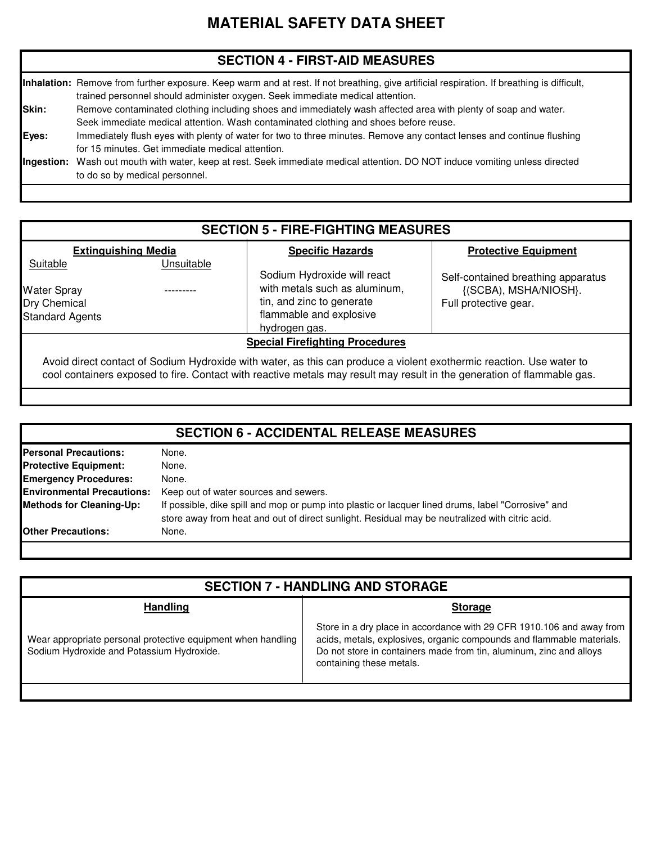# **MATERIAL SAFETY DATA SHEET**

#### **SECTION 4 - FIRST-AID MEASURES**

|            | Inhalation: Remove from further exposure. Keep warm and at rest. If not breathing, give artificial respiration. If breathing is difficult,<br>trained personnel should administer oxygen. Seek immediate medical attention. |
|------------|-----------------------------------------------------------------------------------------------------------------------------------------------------------------------------------------------------------------------------|
| Skin:      | Remove contaminated clothing including shoes and immediately wash affected area with plenty of soap and water.<br>Seek immediate medical attention. Wash contaminated clothing and shoes before reuse.                      |
| Eyes:      | Immediately flush eyes with plenty of water for two to three minutes. Remove any contact lenses and continue flushing<br>for 15 minutes. Get immediate medical attention.                                                   |
| Ingestion: | Wash out mouth with water, keep at rest. Seek immediate medical attention. DO NOT induce vomiting unless directed<br>to do so by medical personnel.                                                                         |

#### **SECTION 5 - FIRE-FIGHTING MEASURES**

Sodium Hydroxide will react with metals such as aluminum,

#### Suitable **Unsuitable Extinguishing Media New Specific Hazards**

---------

#### **Protective Equipment**

Water Spray Standard Agents

Dry Chemical **Full protective gearer and Exercise**  $\vert$  tin, and zinc to generate  $\vert$  Full protective gear. {(SCBA), MSHA/NIOSH}. Self-contained breathing apparatus

#### **Special Firefighting Procedures**

Avoid direct contact of Sodium Hydroxide with water, as this can produce a violent exothermic reaction. Use water to cool containers exposed to fire. Contact with reactive metals may result may result in the generation of flammable gas.

flammable and explosive

hydrogen gas.

| <b>SECTION 6 - ACCIDENTAL RELEASE MEASURES</b> |                                                                                                                                                                                                      |  |
|------------------------------------------------|------------------------------------------------------------------------------------------------------------------------------------------------------------------------------------------------------|--|
| <b>Personal Precautions:</b>                   | None.                                                                                                                                                                                                |  |
| <b>Protective Equipment:</b>                   | None.                                                                                                                                                                                                |  |
| <b>Emergency Procedures:</b>                   | None.                                                                                                                                                                                                |  |
| <b>Environmental Precautions:</b>              | Keep out of water sources and sewers.                                                                                                                                                                |  |
| <b>Methods for Cleaning-Up:</b>                | If possible, dike spill and mop or pump into plastic or lacquer lined drums, label "Corrosive" and<br>store away from heat and out of direct sunlight. Residual may be neutralized with citric acid. |  |
| <b>Other Precautions:</b>                      | None.                                                                                                                                                                                                |  |

| <b>SECTION 7 - HANDLING AND STORAGE</b>                                                                   |                                                                                                                                                                                                                                                   |  |  |
|-----------------------------------------------------------------------------------------------------------|---------------------------------------------------------------------------------------------------------------------------------------------------------------------------------------------------------------------------------------------------|--|--|
| <b>Handling</b><br><b>Storage</b>                                                                         |                                                                                                                                                                                                                                                   |  |  |
| Wear appropriate personal protective equipment when handling<br>Sodium Hydroxide and Potassium Hydroxide. | Store in a dry place in accordance with 29 CFR 1910.106 and away from<br>acids, metals, explosives, organic compounds and flammable materials.<br>Do not store in containers made from tin, aluminum, zinc and alloys<br>containing these metals. |  |  |
|                                                                                                           |                                                                                                                                                                                                                                                   |  |  |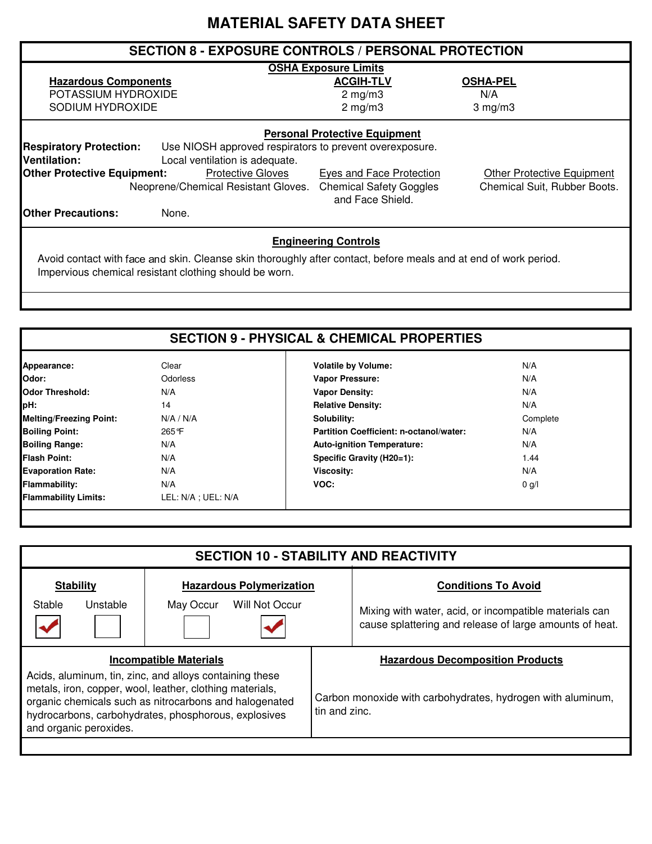# **MATERIAL SAFETY DATA SHEET**

| <b>SECTION 8 - EXPOSURE CONTROLS / PERSONAL PROTECTION</b>                                                                        |                                                                                |                                                                   |  |  |
|-----------------------------------------------------------------------------------------------------------------------------------|--------------------------------------------------------------------------------|-------------------------------------------------------------------|--|--|
|                                                                                                                                   | <b>OSHA Exposure Limits</b>                                                    |                                                                   |  |  |
| <b>Hazardous Components</b>                                                                                                       | <b>ACGIH-TLV</b>                                                               | <b>OSHA-PEL</b>                                                   |  |  |
| POTASSIUM HYDROXIDE                                                                                                               | $2 \text{ mg/m}$                                                               | N/A                                                               |  |  |
| SODIUM HYDROXIDE                                                                                                                  | $2$ mg/m $3$                                                                   | $3$ mg/m $3$                                                      |  |  |
| <b>Personal Protective Equipment</b><br><b>Respiratory Protection:</b><br>Use NIOSH approved respirators to prevent overexposure. |                                                                                |                                                                   |  |  |
| Ventilation:<br>Local ventilation is adequate.                                                                                    |                                                                                |                                                                   |  |  |
| <b>Other Protective Equipment:</b><br><b>Protective Gloves</b><br>Neoprene/Chemical Resistant Gloves.                             | Eyes and Face Protection<br><b>Chemical Safety Goggles</b><br>and Face Shield. | <b>Other Protective Equipment</b><br>Chemical Suit, Rubber Boots. |  |  |
| <b>IOther Precautions:</b><br>None.                                                                                               |                                                                                |                                                                   |  |  |

## **Engineering Controls**

Avoid contact with face and skin. Cleanse skin thoroughly after contact, before meals and at end of work period. Impervious chemical resistant clothing should be worn.

| Appearance:                    | Clear               | <b>Volatile by Volume:</b>              | N/A      |
|--------------------------------|---------------------|-----------------------------------------|----------|
| Odor:                          | <b>Odorless</b>     | Vapor Pressure:                         | N/A      |
| <b>Odor Threshold:</b>         | N/A                 | <b>Vapor Density:</b>                   | N/A      |
| pH:                            | 14                  | <b>Relative Density:</b>                | N/A      |
| <b>Melting/Freezing Point:</b> | N/A / N/A           | Solubility:                             | Complete |
| <b>Boiling Point:</b>          | 265°F               | Partition Coefficient: n-octanol/water: | N/A      |
| <b>Boiling Range:</b>          | N/A                 | <b>Auto-ignition Temperature:</b>       | N/A      |
| <b>Flash Point:</b>            | N/A                 | Specific Gravity (H20=1):               | 1.44     |
| <b>Evaporation Rate:</b>       | N/A                 | Viscosity:                              | N/A      |
| <b>Flammability:</b>           | N/A                 | VOC:                                    | $0$ g/l  |
| <b>Flammability Limits:</b>    | LEL: N/A ; UEL: N/A |                                         |          |
|                                |                     |                                         |          |

| <b>SECTION 10 - STABILITY AND REACTIVITY</b> |                                                                                                                                                                                                                                       |                                                                                                                   |  |  |
|----------------------------------------------|---------------------------------------------------------------------------------------------------------------------------------------------------------------------------------------------------------------------------------------|-------------------------------------------------------------------------------------------------------------------|--|--|
| <b>Stability</b>                             | <b>Hazardous Polymerization</b>                                                                                                                                                                                                       | <b>Conditions To Avoid</b>                                                                                        |  |  |
| Stable<br>Unstable                           | Will Not Occur<br>May Occur                                                                                                                                                                                                           | Mixing with water, acid, or incompatible materials can<br>cause splattering and release of large amounts of heat. |  |  |
|                                              | <b>Incompatible Materials</b>                                                                                                                                                                                                         | <b>Hazardous Decomposition Products</b>                                                                           |  |  |
| and organic peroxides.                       | Acids, aluminum, tin, zinc, and alloys containing these<br>metals, iron, copper, wool, leather, clothing materials,<br>organic chemicals such as nitrocarbons and halogenated<br>hydrocarbons, carbohydrates, phosphorous, explosives | Carbon monoxide with carbohydrates, hydrogen with aluminum,<br>tin and zinc.                                      |  |  |